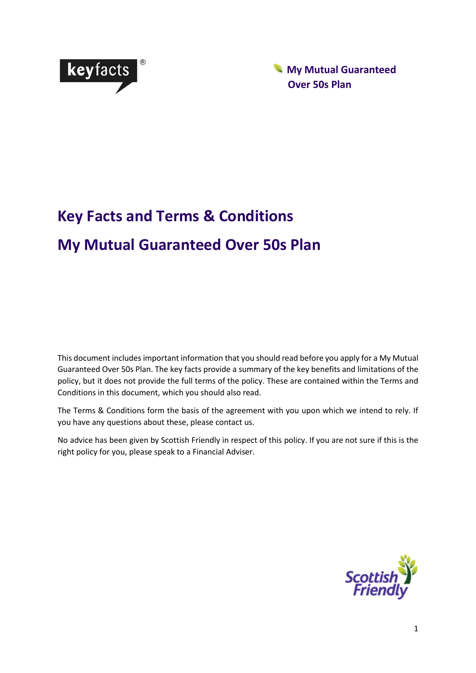

 **My Mutual Guaranteed Over 50s Plan**

# **Key Facts and Terms & Conditions My Mutual Guaranteed Over 50s Plan**

This document includes important information that you should read before you apply for a My Mutual Guaranteed Over 50s Plan. The key facts provide a summary of the key benefits and limitations of the policy, but it does not provide the full terms of the policy. These are contained within the Terms and Conditions in this document, which you should also read.

The Terms & Conditions form the basis of the agreement with you upon which we intend to rely. If you have any questions about these, please contact us.

No advice has been given by Scottish Friendly in respect of this policy. If you are not sure if this is the right policy for you, please speak to a Financial Adviser.

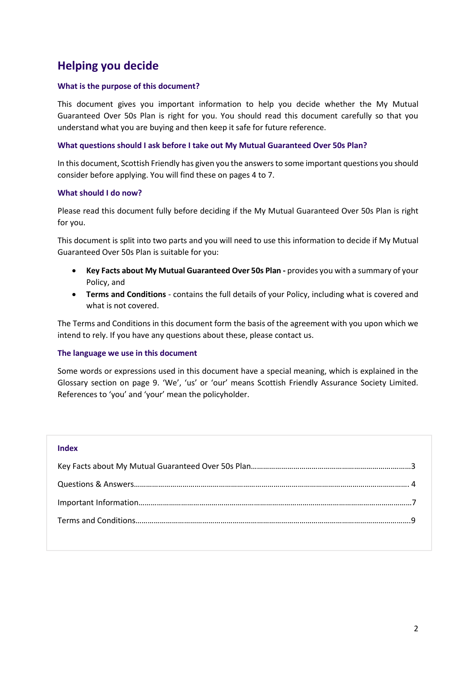# **Helping you decide**

# **What is the purpose of this document?**

This document gives you important information to help you decide whether the My Mutual Guaranteed Over 50s Plan is right for you. You should read this document carefully so that you understand what you are buying and then keep it safe for future reference.

# **What questions should I ask before I take out My Mutual Guaranteed Over 50s Plan?**

In this document, Scottish Friendly has given you the answers to some important questions you should consider before applying. You will find these on pages 4 to 7.

# **What should I do now?**

Please read this document fully before deciding if the My Mutual Guaranteed Over 50s Plan is right for you.

This document is split into two parts and you will need to use this information to decide if My Mutual Guaranteed Over 50s Plan is suitable for you:

- **Key Facts about My Mutual Guaranteed Over 50s Plan -** provides you with a summary of your Policy, and
- **Terms and Conditions** contains the full details of your Policy, including what is covered and what is not covered.

The Terms and Conditions in this document form the basis of the agreement with you upon which we intend to rely. If you have any questions about these, please contact us.

### **The language we use in this document**

Some words or expressions used in this document have a special meaning, which is explained in the Glossary section on page 9. 'We', 'us' or 'our' means Scottish Friendly Assurance Society Limited. References to 'you' and 'your' mean the policyholder.

### **Index**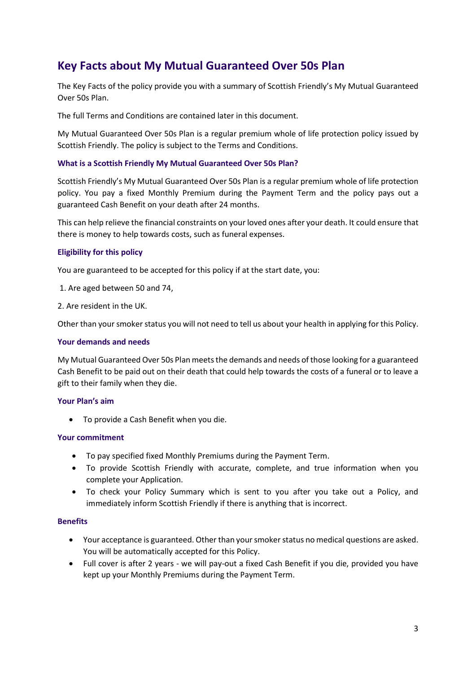# **Key Facts about My Mutual Guaranteed Over 50s Plan**

The Key Facts of the policy provide you with a summary of Scottish Friendly's My Mutual Guaranteed Over 50s Plan.

The full Terms and Conditions are contained later in this document.

My Mutual Guaranteed Over 50s Plan is a regular premium whole of life protection policy issued by Scottish Friendly. The policy is subject to the Terms and Conditions.

# **What is a Scottish Friendly My Mutual Guaranteed Over 50s Plan?**

Scottish Friendly's My Mutual Guaranteed Over 50s Plan is a regular premium whole of life protection policy. You pay a fixed Monthly Premium during the Payment Term and the policy pays out a guaranteed Cash Benefit on your death after 24 months.

This can help relieve the financial constraints on your loved ones after your death. It could ensure that there is money to help towards costs, such as funeral expenses.

# **Eligibility for this policy**

You are guaranteed to be accepted for this policy if at the start date, you:

- 1. Are aged between 50 and 74,
- 2. Are resident in the UK.

Other than your smoker status you will not need to tell us about your health in applying for this Policy.

### **Your demands and needs**

My Mutual Guaranteed Over 50s Plan meets the demands and needs of those looking for a guaranteed Cash Benefit to be paid out on their death that could help towards the costs of a funeral or to leave a gift to their family when they die.

### **Your Plan's aim**

• To provide a Cash Benefit when you die.

### **Your commitment**

- To pay specified fixed Monthly Premiums during the Payment Term.
- To provide Scottish Friendly with accurate, complete, and true information when you complete your Application.
- To check your Policy Summary which is sent to you after you take out a Policy, and immediately inform Scottish Friendly if there is anything that is incorrect.

### **Benefits**

- Your acceptance is guaranteed. Other than your smoker status no medical questions are asked. You will be automatically accepted for this Policy.
- Full cover is after 2 years we will pay-out a fixed Cash Benefit if you die, provided you have kept up your Monthly Premiums during the Payment Term.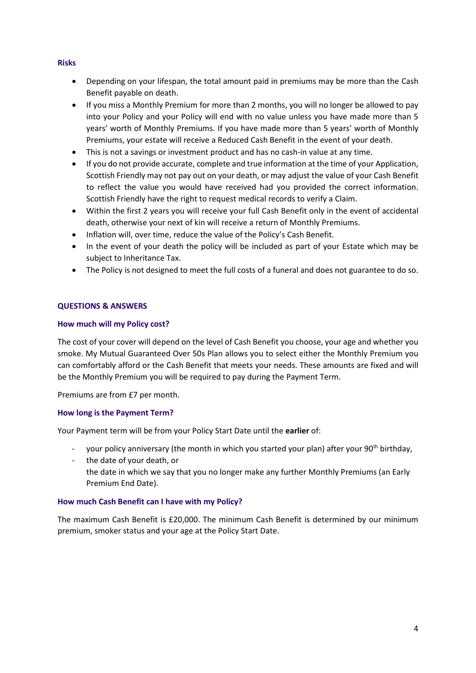# **Risks**

- Depending on your lifespan, the total amount paid in premiums may be more than the Cash Benefit payable on death.
- If you miss a Monthly Premium for more than 2 months, you will no longer be allowed to pay into your Policy and your Policy will end with no value unless you have made more than 5 years' worth of Monthly Premiums. If you have made more than 5 years' worth of Monthly Premiums, your estate will receive a Reduced Cash Benefit in the event of your death.
- This is not a savings or investment product and has no cash-in value at any time.
- If you do not provide accurate, complete and true information at the time of your Application, Scottish Friendly may not pay out on your death, or may adjust the value of your Cash Benefit to reflect the value you would have received had you provided the correct information. Scottish Friendly have the right to request medical records to verify a Claim.
- Within the first 2 years you will receive your full Cash Benefit only in the event of accidental death, otherwise your next of kin will receive a return of Monthly Premiums.
- Inflation will, over time, reduce the value of the Policy's Cash Benefit.
- In the event of your death the policy will be included as part of your Estate which may be subject to Inheritance Tax.
- The Policy is not designed to meet the full costs of a funeral and does not guarantee to do so.

# **QUESTIONS & ANSWERS**

# **How much will my Policy cost?**

The cost of your cover will depend on the level of Cash Benefit you choose, your age and whether you smoke. My Mutual Guaranteed Over 50s Plan allows you to select either the Monthly Premium you can comfortably afford or the Cash Benefit that meets your needs. These amounts are fixed and will be the Monthly Premium you will be required to pay during the Payment Term.

Premiums are from £7 per month.

# **How long is the Payment Term?**

Your Payment term will be from your Policy Start Date until the **earlier** of:

- your policy anniversary (the month in which you started your plan) after your 90<sup>th</sup> birthday,
- the date of your death, or the date in which we say that you no longer make any further Monthly Premiums (an Early Premium End Date).

### **How much Cash Benefit can I have with my Policy?**

The maximum Cash Benefit is £20,000. The minimum Cash Benefit is determined by our minimum premium, smoker status and your age at the Policy Start Date.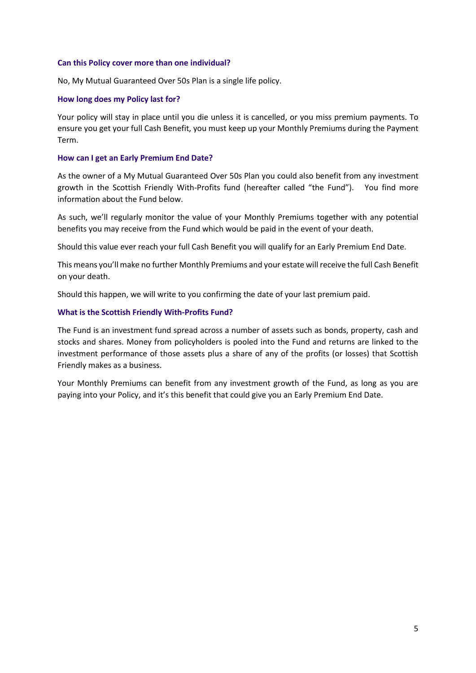#### **Can this Policy cover more than one individual?**

No, My Mutual Guaranteed Over 50s Plan is a single life policy.

### **How long does my Policy last for?**

Your policy will stay in place until you die unless it is cancelled, or you miss premium payments. To ensure you get your full Cash Benefit, you must keep up your Monthly Premiums during the Payment Term.

### **How can I get an Early Premium End Date?**

As the owner of a My Mutual Guaranteed Over 50s Plan you could also benefit from any investment growth in the Scottish Friendly With-Profits fund (hereafter called "the Fund"). You find more information about the Fund below.

As such, we'll regularly monitor the value of your Monthly Premiums together with any potential benefits you may receive from the Fund which would be paid in the event of your death.

Should this value ever reach your full Cash Benefit you will qualify for an Early Premium End Date.

This means you'll make no further Monthly Premiums and your estate will receive the full Cash Benefit on your death.

Should this happen, we will write to you confirming the date of your last premium paid.

### **What is the Scottish Friendly With-Profits Fund?**

The Fund is an investment fund spread across a number of assets such as bonds, property, cash and stocks and shares. Money from policyholders is pooled into the Fund and returns are linked to the investment performance of those assets plus a share of any of the profits (or losses) that Scottish Friendly makes as a business.

Your Monthly Premiums can benefit from any investment growth of the Fund, as long as you are paying into your Policy, and it's this benefit that could give you an Early Premium End Date.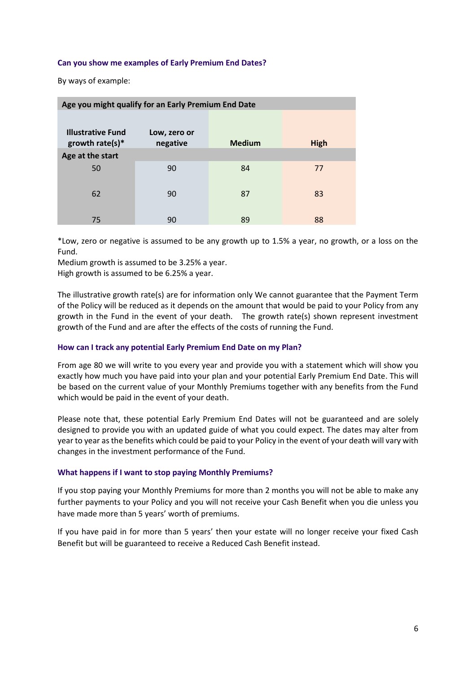### **Can you show me examples of Early Premium End Dates?**

By ways of example:

| Age you might qualify for an Early Premium End Date |                          |               |      |  |
|-----------------------------------------------------|--------------------------|---------------|------|--|
| <b>Illustrative Fund</b><br>growth rate(s) $*$      | Low, zero or<br>negative | <b>Medium</b> | High |  |
| Age at the start                                    |                          |               |      |  |
| 50                                                  | 90                       | 84            | 77   |  |
|                                                     |                          |               |      |  |
| 62                                                  | 90                       | 87            | 83   |  |
|                                                     |                          |               |      |  |
| 75                                                  | 90                       | 89            | 88   |  |

\*Low, zero or negative is assumed to be any growth up to 1.5% a year, no growth, or a loss on the Fund.

Medium growth is assumed to be 3.25% a year. High growth is assumed to be 6.25% a year.

The illustrative growth rate(s) are for information only We cannot guarantee that the Payment Term of the Policy will be reduced as it depends on the amount that would be paid to your Policy from any growth in the Fund in the event of your death. The growth rate(s) shown represent investment growth of the Fund and are after the effects of the costs of running the Fund.

### **How can I track any potential Early Premium End Date on my Plan?**

From age 80 we will write to you every year and provide you with a statement which will show you exactly how much you have paid into your plan and your potential Early Premium End Date. This will be based on the current value of your Monthly Premiums together with any benefits from the Fund which would be paid in the event of your death.

Please note that, these potential Early Premium End Dates will not be guaranteed and are solely designed to provide you with an updated guide of what you could expect. The dates may alter from year to year as the benefits which could be paid to your Policy in the event of your death will vary with changes in the investment performance of the Fund.

### **What happens if I want to stop paying Monthly Premiums?**

If you stop paying your Monthly Premiums for more than 2 months you will not be able to make any further payments to your Policy and you will not receive your Cash Benefit when you die unless you have made more than 5 years' worth of premiums.

If you have paid in for more than 5 years' then your estate will no longer receive your fixed Cash Benefit but will be guaranteed to receive a Reduced Cash Benefit instead.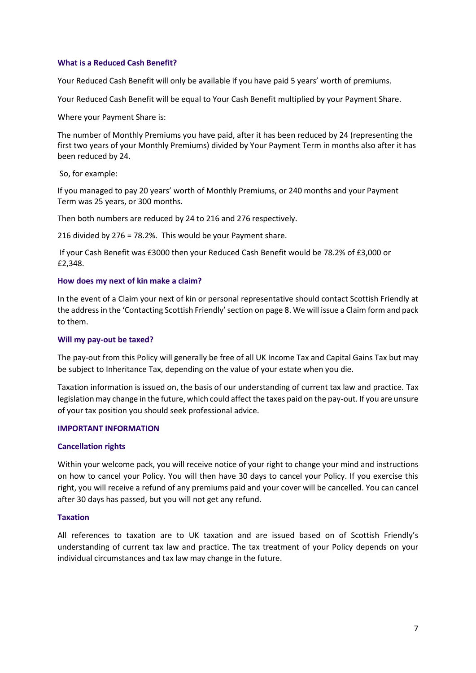### **What is a Reduced Cash Benefit?**

Your Reduced Cash Benefit will only be available if you have paid 5 years' worth of premiums.

Your Reduced Cash Benefit will be equal to Your Cash Benefit multiplied by your Payment Share.

Where your Payment Share is:

The number of Monthly Premiums you have paid, after it has been reduced by 24 (representing the first two years of your Monthly Premiums) divided by Your Payment Term in months also after it has been reduced by 24.

So, for example:

If you managed to pay 20 years' worth of Monthly Premiums, or 240 months and your Payment Term was 25 years, or 300 months.

Then both numbers are reduced by 24 to 216 and 276 respectively.

216 divided by 276 = 78.2%. This would be your Payment share.

If your Cash Benefit was £3000 then your Reduced Cash Benefit would be 78.2% of £3,000 or £2,348.

### **How does my next of kin make a claim?**

In the event of a Claim your next of kin or personal representative should contact Scottish Friendly at the address in the 'Contacting Scottish Friendly' section on page 8. We will issue a Claim form and pack to them.

### **Will my pay-out be taxed?**

The pay-out from this Policy will generally be free of all UK Income Tax and Capital Gains Tax but may be subject to Inheritance Tax, depending on the value of your estate when you die.

Taxation information is issued on, the basis of our understanding of current tax law and practice. Tax legislation may change in the future, which could affect the taxes paid on the pay-out. If you are unsure of your tax position you should seek professional advice.

### **IMPORTANT INFORMATION**

### **Cancellation rights**

Within your welcome pack, you will receive notice of your right to change your mind and instructions on how to cancel your Policy. You will then have 30 days to cancel your Policy. If you exercise this right, you will receive a refund of any premiums paid and your cover will be cancelled. You can cancel after 30 days has passed, but you will not get any refund.

### **Taxation**

All references to taxation are to UK taxation and are issued based on of Scottish Friendly's understanding of current tax law and practice. The tax treatment of your Policy depends on your individual circumstances and tax law may change in the future.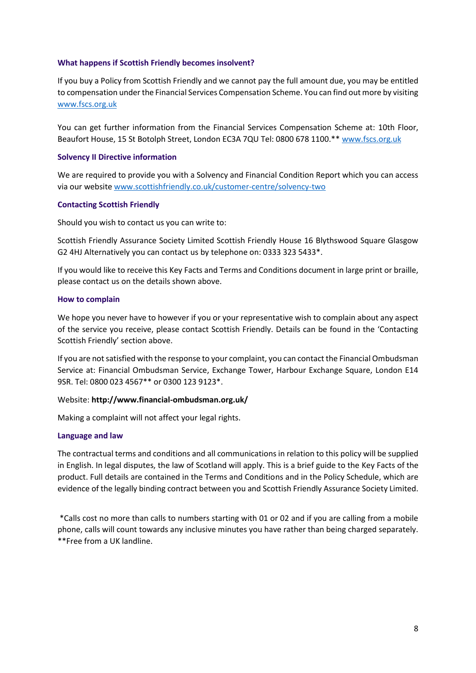### **What happens if Scottish Friendly becomes insolvent?**

If you buy a Policy from Scottish Friendly and we cannot pay the full amount due, you may be entitled to compensation under the Financial Services Compensation Scheme. You can find out more by visiting [www.fscs.org.uk](http://www.fscs.org.uk/)

You can get further information from the Financial Services Compensation Scheme at: 10th Floor, Beaufort House, 15 St Botolph Street, London EC3A 7QU Tel: 0800 678 1100.\*\* [www.fscs.org.uk](http://www.fscs.org.uk/)

### **Solvency II Directive information**

We are required to provide you with a Solvency and Financial Condition Report which you can access via our websit[e www.scottishfriendly.co.uk/customer-centre/solvency-two](http://www.scottishfriendly.co.uk/customer-centre/solvency-two)

### **Contacting Scottish Friendly**

Should you wish to contact us you can write to:

Scottish Friendly Assurance Society Limited Scottish Friendly House 16 Blythswood Square Glasgow G2 4HJ Alternatively you can contact us by telephone on: 0333 323 5433\*.

If you would like to receive this Key Facts and Terms and Conditions document in large print or braille, please contact us on the details shown above.

### **How to complain**

We hope you never have to however if you or your representative wish to complain about any aspect of the service you receive, please contact Scottish Friendly. Details can be found in the 'Contacting Scottish Friendly' section above.

If you are not satisfied with the response to your complaint, you can contact the Financial Ombudsman Service at: Financial Ombudsman Service, Exchange Tower, Harbour Exchange Square, London E14 9SR. Tel: 0800 023 4567\*\* or 0300 123 9123\*.

# Website: **http://www.financial-ombudsman.org.uk/**

Making a complaint will not affect your legal rights.

### **Language and law**

The contractual terms and conditions and all communications in relation to this policy will be supplied in English. In legal disputes, the law of Scotland will apply. This is a brief guide to the Key Facts of the product. Full details are contained in the Terms and Conditions and in the Policy Schedule, which are evidence of the legally binding contract between you and Scottish Friendly Assurance Society Limited.

\*Calls cost no more than calls to numbers starting with 01 or 02 and if you are calling from a mobile phone, calls will count towards any inclusive minutes you have rather than being charged separately. \*\*Free from a UK landline.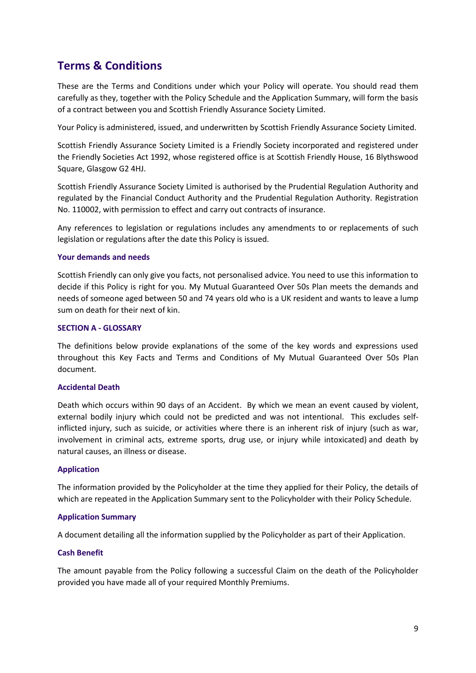# **Terms & Conditions**

These are the Terms and Conditions under which your Policy will operate. You should read them carefully as they, together with the Policy Schedule and the Application Summary, will form the basis of a contract between you and Scottish Friendly Assurance Society Limited.

Your Policy is administered, issued, and underwritten by Scottish Friendly Assurance Society Limited.

Scottish Friendly Assurance Society Limited is a Friendly Society incorporated and registered under the Friendly Societies Act 1992, whose registered office is at Scottish Friendly House, 16 Blythswood Square, Glasgow G2 4HJ.

Scottish Friendly Assurance Society Limited is authorised by the Prudential Regulation Authority and regulated by the Financial Conduct Authority and the Prudential Regulation Authority. Registration No. 110002, with permission to effect and carry out contracts of insurance.

Any references to legislation or regulations includes any amendments to or replacements of such legislation or regulations after the date this Policy is issued.

### **Your demands and needs**

Scottish Friendly can only give you facts, not personalised advice. You need to use this information to decide if this Policy is right for you. My Mutual Guaranteed Over 50s Plan meets the demands and needs of someone aged between 50 and 74 years old who is a UK resident and wants to leave a lump sum on death for their next of kin.

# **SECTION A - GLOSSARY**

The definitions below provide explanations of the some of the key words and expressions used throughout this Key Facts and Terms and Conditions of My Mutual Guaranteed Over 50s Plan document.

### **Accidental Death**

Death which occurs within 90 days of an Accident. By which we mean an event caused by violent, external bodily injury which could not be predicted and was not intentional. This excludes selfinflicted injury, such as suicide, or activities where there is an inherent risk of injury (such as war, involvement in criminal acts, extreme sports, drug use, or injury while intoxicated) and death by natural causes, an illness or disease.

### **Application**

The information provided by the Policyholder at the time they applied for their Policy, the details of which are repeated in the Application Summary sent to the Policyholder with their Policy Schedule.

### **Application Summary**

A document detailing all the information supplied by the Policyholder as part of their Application.

### **Cash Benefit**

The amount payable from the Policy following a successful Claim on the death of the Policyholder provided you have made all of your required Monthly Premiums.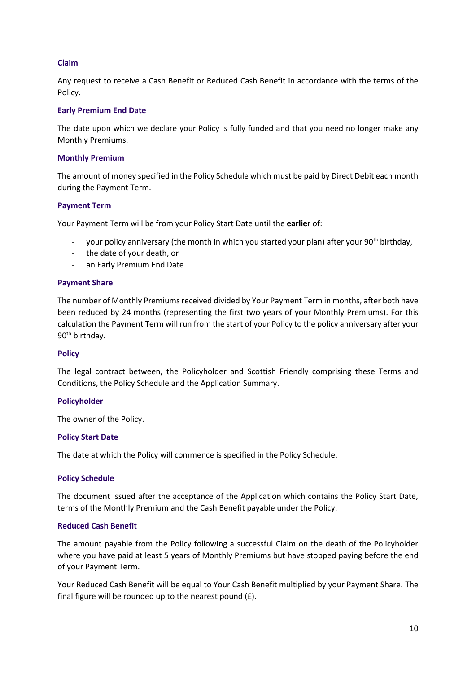# **Claim**

Any request to receive a Cash Benefit or Reduced Cash Benefit in accordance with the terms of the Policy.

### **Early Premium End Date**

The date upon which we declare your Policy is fully funded and that you need no longer make any Monthly Premiums.

### **Monthly Premium**

The amount of money specified in the Policy Schedule which must be paid by Direct Debit each month during the Payment Term.

# **Payment Term**

Your Payment Term will be from your Policy Start Date until the **earlier** of:

- your policy anniversary (the month in which you started your plan) after your 90<sup>th</sup> birthday,
- the date of your death, or
- an Early Premium End Date

### **Payment Share**

The number of Monthly Premiums received divided by Your Payment Term in months, after both have been reduced by 24 months (representing the first two years of your Monthly Premiums). For this calculation the Payment Term will run from the start of your Policy to the policy anniversary after your 90<sup>th</sup> birthday.

### **Policy**

The legal contract between, the Policyholder and Scottish Friendly comprising these Terms and Conditions, the Policy Schedule and the Application Summary.

### **Policyholder**

The owner of the Policy.

### **Policy Start Date**

The date at which the Policy will commence is specified in the Policy Schedule.

### **Policy Schedule**

The document issued after the acceptance of the Application which contains the Policy Start Date, terms of the Monthly Premium and the Cash Benefit payable under the Policy.

# **Reduced Cash Benefit**

The amount payable from the Policy following a successful Claim on the death of the Policyholder where you have paid at least 5 years of Monthly Premiums but have stopped paying before the end of your Payment Term.

Your Reduced Cash Benefit will be equal to Your Cash Benefit multiplied by your Payment Share. The final figure will be rounded up to the nearest pound (£).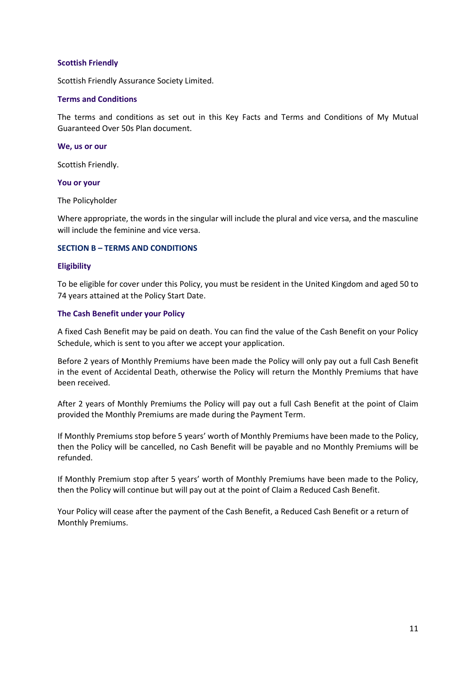### **Scottish Friendly**

Scottish Friendly Assurance Society Limited.

### **Terms and Conditions**

The terms and conditions as set out in this Key Facts and Terms and Conditions of My Mutual Guaranteed Over 50s Plan document.

#### **We, us or our**

Scottish Friendly.

### **You or your**

The Policyholder

Where appropriate, the words in the singular will include the plural and vice versa, and the masculine will include the feminine and vice versa.

### **SECTION B – TERMS AND CONDITIONS**

### **Eligibility**

To be eligible for cover under this Policy, you must be resident in the United Kingdom and aged 50 to 74 years attained at the Policy Start Date.

### **The Cash Benefit under your Policy**

A fixed Cash Benefit may be paid on death. You can find the value of the Cash Benefit on your Policy Schedule, which is sent to you after we accept your application.

Before 2 years of Monthly Premiums have been made the Policy will only pay out a full Cash Benefit in the event of Accidental Death, otherwise the Policy will return the Monthly Premiums that have been received.

After 2 years of Monthly Premiums the Policy will pay out a full Cash Benefit at the point of Claim provided the Monthly Premiums are made during the Payment Term.

If Monthly Premiums stop before 5 years' worth of Monthly Premiums have been made to the Policy, then the Policy will be cancelled, no Cash Benefit will be payable and no Monthly Premiums will be refunded.

If Monthly Premium stop after 5 years' worth of Monthly Premiums have been made to the Policy, then the Policy will continue but will pay out at the point of Claim a Reduced Cash Benefit.

Your Policy will cease after the payment of the Cash Benefit, a Reduced Cash Benefit or a return of Monthly Premiums.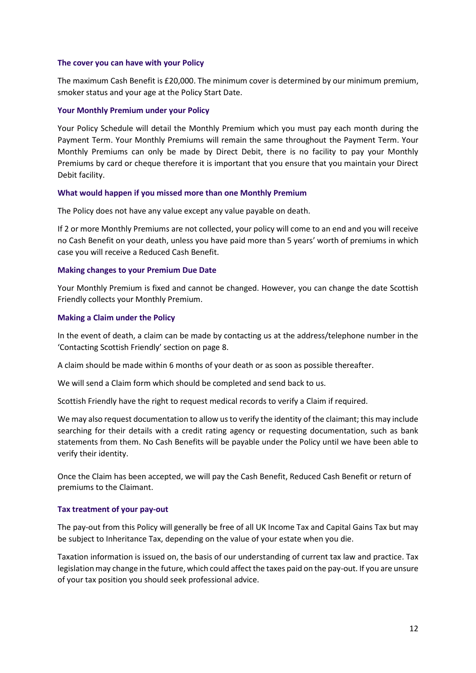### **The cover you can have with your Policy**

The maximum Cash Benefit is £20,000. The minimum cover is determined by our minimum premium, smoker status and your age at the Policy Start Date.

### **Your Monthly Premium under your Policy**

Your Policy Schedule will detail the Monthly Premium which you must pay each month during the Payment Term. Your Monthly Premiums will remain the same throughout the Payment Term. Your Monthly Premiums can only be made by Direct Debit, there is no facility to pay your Monthly Premiums by card or cheque therefore it is important that you ensure that you maintain your Direct Debit facility.

### **What would happen if you missed more than one Monthly Premium**

The Policy does not have any value except any value payable on death.

If 2 or more Monthly Premiums are not collected, your policy will come to an end and you will receive no Cash Benefit on your death, unless you have paid more than 5 years' worth of premiums in which case you will receive a Reduced Cash Benefit.

### **Making changes to your Premium Due Date**

Your Monthly Premium is fixed and cannot be changed. However, you can change the date Scottish Friendly collects your Monthly Premium.

### **Making a Claim under the Policy**

In the event of death, a claim can be made by contacting us at the address/telephone number in the 'Contacting Scottish Friendly' section on page 8.

A claim should be made within 6 months of your death or as soon as possible thereafter.

We will send a Claim form which should be completed and send back to us.

Scottish Friendly have the right to request medical records to verify a Claim if required.

We may also request documentation to allow us to verify the identity of the claimant; this may include searching for their details with a credit rating agency or requesting documentation, such as bank statements from them. No Cash Benefits will be payable under the Policy until we have been able to verify their identity.

Once the Claim has been accepted, we will pay the Cash Benefit, Reduced Cash Benefit or return of premiums to the Claimant.

### **Tax treatment of your pay-out**

The pay-out from this Policy will generally be free of all UK Income Tax and Capital Gains Tax but may be subject to Inheritance Tax, depending on the value of your estate when you die.

Taxation information is issued on, the basis of our understanding of current tax law and practice. Tax legislation may change in the future, which could affect the taxes paid on the pay-out. If you are unsure of your tax position you should seek professional advice.